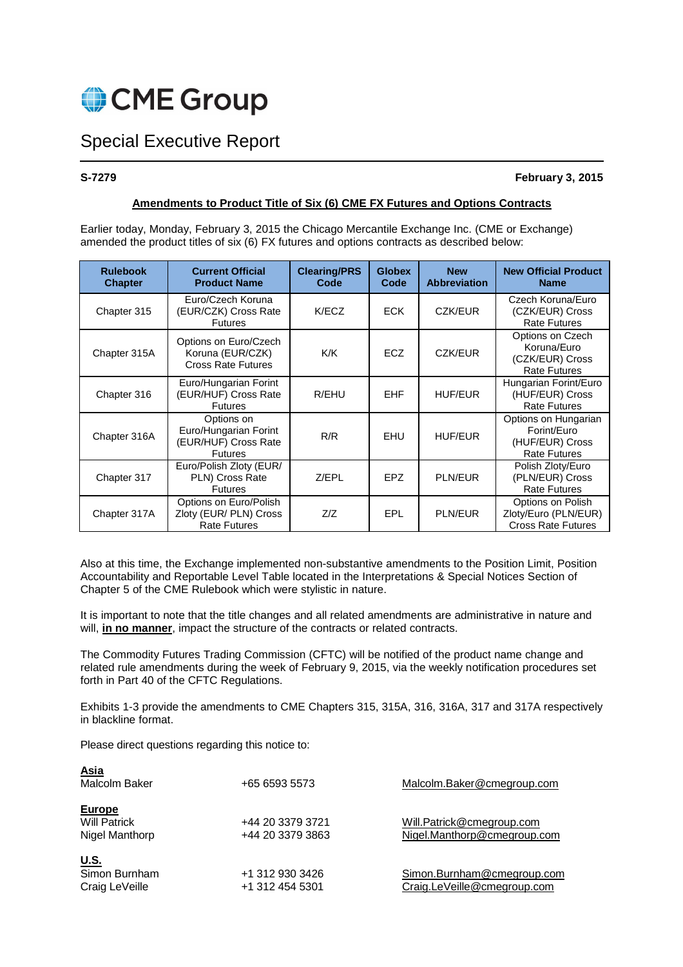

# Special Executive Report

# **S-7279 February 3, 2015**

# **Amendments to Product Title of Six (6) CME FX Futures and Options Contracts**

Earlier today, Monday, February 3, 2015 the Chicago Mercantile Exchange Inc. (CME or Exchange) amended the product titles of six (6) FX futures and options contracts as described below:

| <b>Rulebook</b><br><b>Chapter</b> | <b>Current Official</b><br><b>Product Name</b>                                | <b>Clearing/PRS</b><br>Code | <b>Globex</b><br>Code | <b>New</b><br><b>Abbreviation</b> | <b>New Official Product</b><br><b>Name</b>                                    |
|-----------------------------------|-------------------------------------------------------------------------------|-----------------------------|-----------------------|-----------------------------------|-------------------------------------------------------------------------------|
| Chapter 315                       | Euro/Czech Koruna<br>(EUR/CZK) Cross Rate<br><b>Futures</b>                   | K/ECZ                       | <b>ECK</b>            | CZK/EUR                           | Czech Koruna/Euro<br>(CZK/EUR) Cross<br><b>Rate Futures</b>                   |
| Chapter 315A                      | Options on Euro/Czech<br>Koruna (EUR/CZK)<br><b>Cross Rate Futures</b>        | K/K                         | ECZ                   | CZK/EUR                           | Options on Czech<br>Koruna/Euro<br>(CZK/EUR) Cross<br><b>Rate Futures</b>     |
| Chapter 316                       | Euro/Hungarian Forint<br>(EUR/HUF) Cross Rate<br><b>Futures</b>               | R/EHU                       | <b>EHF</b>            | <b>HUF/EUR</b>                    | Hungarian Forint/Euro<br>(HUF/EUR) Cross<br><b>Rate Futures</b>               |
| Chapter 316A                      | Options on<br>Euro/Hungarian Forint<br>(EUR/HUF) Cross Rate<br><b>Futures</b> | R/R                         | <b>EHU</b>            | <b>HUF/EUR</b>                    | Options on Hungarian<br>Forint/Euro<br>(HUF/EUR) Cross<br><b>Rate Futures</b> |
| Chapter 317                       | Euro/Polish Zloty (EUR/<br>PLN) Cross Rate<br><b>Futures</b>                  | Z/EPL                       | EPZ                   | <b>PLN/EUR</b>                    | Polish Zloty/Euro<br>(PLN/EUR) Cross<br><b>Rate Futures</b>                   |
| Chapter 317A                      | Options on Euro/Polish<br>Zloty (EUR/ PLN) Cross<br><b>Rate Futures</b>       | Z/Z                         | EPL                   | <b>PLN/EUR</b>                    | Options on Polish<br>Zloty/Euro (PLN/EUR)<br><b>Cross Rate Futures</b>        |

Also at this time, the Exchange implemented non-substantive amendments to the Position Limit, Position Accountability and Reportable Level Table located in the Interpretations & Special Notices Section of Chapter 5 of the CME Rulebook which were stylistic in nature.

It is important to note that the title changes and all related amendments are administrative in nature and will, **in no manner**, impact the structure of the contracts or related contracts.

The Commodity Futures Trading Commission (CFTC) will be notified of the product name change and related rule amendments during the week of February 9, 2015, via the weekly notification procedures set forth in Part 40 of the CFTC Regulations.

Exhibits 1-3 provide the amendments to CME Chapters 315, 315A, 316, 316A, 317 and 317A respectively in blackline format.

Please direct questions regarding this notice to:

| <u>Asia</u><br>Malcolm Baker                           | +65 6593 5573                        | Malcolm.Baker@cmegroup.com                                |
|--------------------------------------------------------|--------------------------------------|-----------------------------------------------------------|
| <b>Europe</b><br><b>Will Patrick</b><br>Nigel Manthorp | +44 20 3379 3721<br>+44 20 3379 3863 | Will.Patrick@cmegroup.com<br>Nigel.Manthorp@cmegroup.com  |
| <u>U.S.</u><br>Simon Burnham<br>Craig LeVeille         | +1 312 930 3426<br>+1 312 454 5301   | Simon.Burnham@cmegroup.com<br>Craig.LeVeille@cmegroup.com |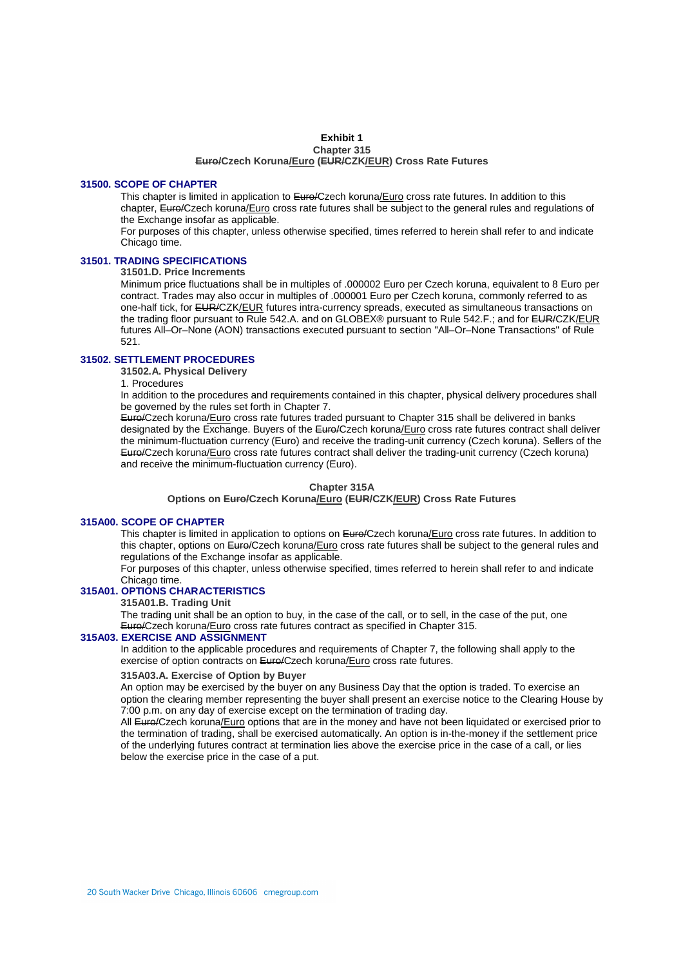#### **Exhibit 1 Chapter 315 Euro/Czech Koruna/Euro (EUR/CZK/EUR) Cross Rate Futures**

#### **31500. SCOPE OF CHAPTER**

This chapter is limited in application to Euro/Czech koruna/Euro cross rate futures. In addition to this chapter, Euro/Czech koruna/Euro cross rate futures shall be subject to the general rules and regulations of the Exchange insofar as applicable.

For purposes of this chapter, unless otherwise specified, times referred to herein shall refer to and indicate Chicago time.

# **31501. TRADING SPECIFICATIONS**

**31501.D. Price Increments** 

Minimum price fluctuations shall be in multiples of .000002 Euro per Czech koruna, equivalent to 8 Euro per contract. Trades may also occur in multiples of .000001 Euro per Czech koruna, commonly referred to as one-half tick, for EUR/CZK/EUR futures intra-currency spreads, executed as simultaneous transactions on the trading floor pursuant to Rule 542.A. and on GLOBEX® pursuant to Rule 542.F.; and for EUR/CZK/EUR futures All–Or–None (AON) transactions executed pursuant to section "All–Or–None Transactions" of Rule 521.

# **31502. SETTLEMENT PROCEDURES**

**31502.A. Physical Delivery** 

1. Procedures

In addition to the procedures and requirements contained in this chapter, physical delivery procedures shall be governed by the rules set forth in Chapter 7.

Euro/Czech koruna/Euro cross rate futures traded pursuant to Chapter 315 shall be delivered in banks designated by the Exchange. Buyers of the Euro/Czech koruna/Euro cross rate futures contract shall deliver the minimum-fluctuation currency (Euro) and receive the trading-unit currency (Czech koruna). Sellers of the Euro/Czech koruna/Euro cross rate futures contract shall deliver the trading-unit currency (Czech koruna) and receive the minimum-fluctuation currency (Euro).

#### **Chapter 315A**

**Options on Euro/Czech Koruna/Euro (EUR/CZK/EUR) Cross Rate Futures**

# **315A00. SCOPE OF CHAPTER**

This chapter is limited in application to options on Euro/Czech koruna/Euro cross rate futures. In addition to this chapter, options on Euro/Czech koruna/Euro cross rate futures shall be subject to the general rules and regulations of the Exchange insofar as applicable.

For purposes of this chapter, unless otherwise specified, times referred to herein shall refer to and indicate Chicago time.

# **315A01. OPTIONS CHARACTERISTICS**

**315A01.B. Trading Unit** 

The trading unit shall be an option to buy, in the case of the call, or to sell, in the case of the put, one Euro/Czech koruna/Euro cross rate futures contract as specified in Chapter 315.

# **315A03. EXERCISE AND ASSIGNMENT**

In addition to the applicable procedures and requirements of Chapter 7, the following shall apply to the exercise of option contracts on Euro/Czech koruna/Euro cross rate futures.

#### **315A03.A. Exercise of Option by Buyer**

An option may be exercised by the buyer on any Business Day that the option is traded. To exercise an option the clearing member representing the buyer shall present an exercise notice to the Clearing House by 7:00 p.m. on any day of exercise except on the termination of trading day.

All Euro/Czech koruna/Euro options that are in the money and have not been liquidated or exercised prior to the termination of trading, shall be exercised automatically. An option is in-the-money if the settlement price of the underlying futures contract at termination lies above the exercise price in the case of a call, or lies below the exercise price in the case of a put.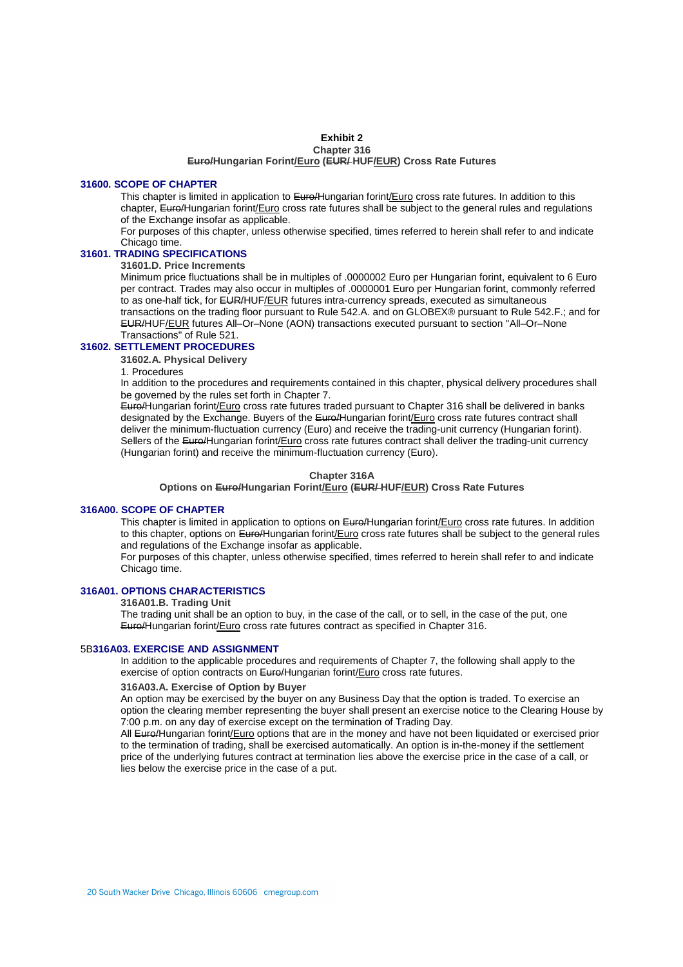#### **Exhibit 2 Chapter 316**

# **Euro/Hungarian Forint/Euro (EUR/ HUF/EUR) Cross Rate Futures**

#### **31600. SCOPE OF CHAPTER**

This chapter is limited in application to Euro/Hungarian forint/Euro cross rate futures. In addition to this chapter, Euro/Hungarian forint/Euro cross rate futures shall be subject to the general rules and regulations of the Exchange insofar as applicable.

For purposes of this chapter, unless otherwise specified, times referred to herein shall refer to and indicate Chicago time.

# **31601. TRADING SPECIFICATIONS**

**31601.D. Price Increments** 

Minimum price fluctuations shall be in multiples of .0000002 Euro per Hungarian forint, equivalent to 6 Euro per contract. Trades may also occur in multiples of .0000001 Euro per Hungarian forint, commonly referred to as one-half tick, for EUR/HUF/EUR futures intra-currency spreads, executed as simultaneous transactions on the trading floor pursuant to Rule 542.A. and on GLOBEX® pursuant to Rule 542.F.; and for

EUR/HUF/EUR futures All–Or–None (AON) transactions executed pursuant to section "All–Or–None Transactions" of Rule 521.

# **31602. SETTLEMENT PROCEDURES**

**31602.A. Physical Delivery** 

1. Procedures

In addition to the procedures and requirements contained in this chapter, physical delivery procedures shall be governed by the rules set forth in Chapter 7.

Euro/Hungarian forint/Euro cross rate futures traded pursuant to Chapter 316 shall be delivered in banks designated by the Exchange. Buyers of the Euro/Hungarian forint/Euro cross rate futures contract shall deliver the minimum-fluctuation currency (Euro) and receive the trading-unit currency (Hungarian forint). Sellers of the Euro/Hungarian forint/Euro cross rate futures contract shall deliver the trading-unit currency (Hungarian forint) and receive the minimum-fluctuation currency (Euro).

#### **Chapter 316A**

**Options on Euro/Hungarian Forint/Euro (EUR/ HUF/EUR) Cross Rate Futures**

### **316A00. SCOPE OF CHAPTER**

This chapter is limited in application to options on Euro/Hungarian forint/Euro cross rate futures. In addition to this chapter, options on Euro/Hungarian forint/Euro cross rate futures shall be subject to the general rules and regulations of the Exchange insofar as applicable.

For purposes of this chapter, unless otherwise specified, times referred to herein shall refer to and indicate Chicago time.

# **316A01. OPTIONS CHARACTERISTICS**

#### **316A01.B. Trading Unit**

The trading unit shall be an option to buy, in the case of the call, or to sell, in the case of the put, one Euro/Hungarian forint/Euro cross rate futures contract as specified in Chapter 316.

#### 5B**316A03. EXERCISE AND ASSIGNMENT**

In addition to the applicable procedures and requirements of Chapter 7, the following shall apply to the exercise of option contracts on Euro/Hungarian forint/Euro cross rate futures.

#### **316A03.A. Exercise of Option by Buyer**

An option may be exercised by the buyer on any Business Day that the option is traded. To exercise an option the clearing member representing the buyer shall present an exercise notice to the Clearing House by 7:00 p.m. on any day of exercise except on the termination of Trading Day.

All Euro/Hungarian forint/Euro options that are in the money and have not been liquidated or exercised prior to the termination of trading, shall be exercised automatically. An option is in-the-money if the settlement price of the underlying futures contract at termination lies above the exercise price in the case of a call, or lies below the exercise price in the case of a put.